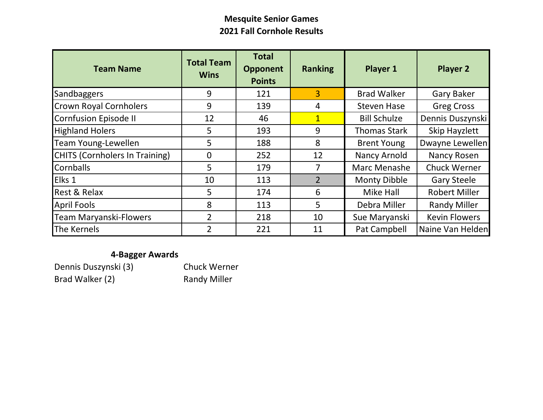## **Mesquite Senior Games 2021 Fall Cornhole Results**

| <b>Team Name</b>                      | <b>Total Team</b><br><b>Wins</b> | <b>Total</b><br><b>Opponent</b><br><b>Points</b> | <b>Ranking</b> | <b>Player 1</b>     | <b>Player 2</b>      |  |  |
|---------------------------------------|----------------------------------|--------------------------------------------------|----------------|---------------------|----------------------|--|--|
| Sandbaggers                           | 9                                | 121                                              | $\overline{3}$ | <b>Brad Walker</b>  | <b>Gary Baker</b>    |  |  |
| <b>Crown Royal Cornholers</b>         | 9                                | 139                                              | 4              | <b>Steven Hase</b>  | <b>Greg Cross</b>    |  |  |
| Cornfusion Episode II                 | 12                               | 46                                               | $\mathbf{1}$   | <b>Bill Schulze</b> | Dennis Duszynski     |  |  |
| <b>Highland Holers</b>                | 5                                | 193                                              | 9              | <b>Thomas Stark</b> | Skip Hayzlett        |  |  |
| <b>Team Young-Lewellen</b>            | 5                                | 188                                              | 8              | <b>Brent Young</b>  | Dwayne Lewellen      |  |  |
| <b>CHITS (Cornholers In Training)</b> | $\mathbf{0}$                     | 252                                              | 12             | Nancy Arnold        | Nancy Rosen          |  |  |
| <b>Cornballs</b>                      | 5                                | 179                                              |                | Marc Menashe        | <b>Chuck Werner</b>  |  |  |
| Elks 1                                | 10                               | 113                                              | $\overline{2}$ | <b>Monty Dibble</b> | <b>Gary Steele</b>   |  |  |
| Rest & Relax                          | 5                                | 174                                              | 6              | Mike Hall           | <b>Robert Miller</b> |  |  |
| <b>April Fools</b>                    | 8                                | 113                                              | 5              | Debra Miller        | <b>Randy Miller</b>  |  |  |
| <b>Team Maryanski-Flowers</b>         | $\overline{2}$                   | 218                                              | 10             | Sue Maryanski       | <b>Kevin Flowers</b> |  |  |
| The Kernels                           | $\overline{2}$                   | 221                                              | 11             | Pat Campbell        | Naine Van Helden     |  |  |

## **4-Bagger Awards**

| Dennis Duszynski (3) | <b>Chuck Werner</b> |
|----------------------|---------------------|
| Brad Walker (2)      | <b>Randy Miller</b> |